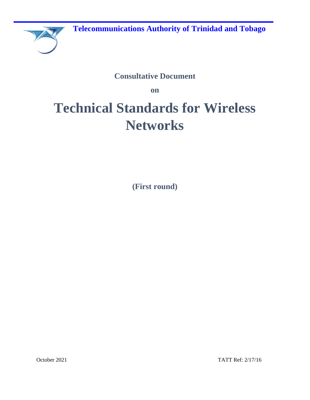

## **Consultative Document**

**on** 

# **Technical Standards for Wireless Networks**

**(First round)**

October 2021 TATT Ref: 2/17/16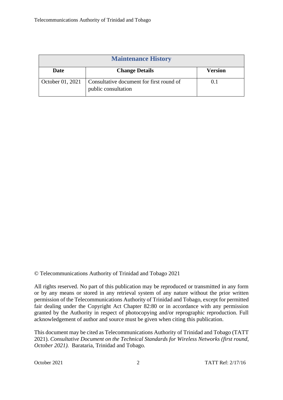| <b>Maintenance History</b> |                                                                 |         |  |
|----------------------------|-----------------------------------------------------------------|---------|--|
| Date                       | <b>Change Details</b>                                           | Version |  |
| October 01, 2021           | Consultative document for first round of<br>public consultation |         |  |

© Telecommunications Authority of Trinidad and Tobago 2021

All rights reserved. No part of this publication may be reproduced or transmitted in any form or by any means or stored in any retrieval system of any nature without the prior written permission of the Telecommunications Authority of Trinidad and Tobago, except for permitted fair dealing under the Copyright Act Chapter 82:80 or in accordance with any permission granted by the Authority in respect of photocopying and/or reprographic reproduction. Full acknowledgement of author and source must be given when citing this publication.

This document may be cited as Telecommunications Authority of Trinidad and Tobago (TATT 2021). *Consultative Document on the Technical Standards for Wireless Networks (first round, October 2021).* Barataria, Trinidad and Tobago*.*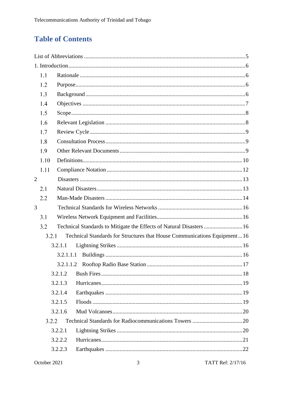## **Table of Contents**

|                | 1.1   |           |                                                                          |    |
|----------------|-------|-----------|--------------------------------------------------------------------------|----|
|                | 1.2   |           |                                                                          |    |
|                | 1.3   |           |                                                                          |    |
|                | 1.4   |           |                                                                          |    |
|                | 1.5   |           |                                                                          |    |
|                | 1.6   |           |                                                                          |    |
|                | 1.7   |           |                                                                          |    |
|                | 1.8   |           |                                                                          |    |
|                | 1.9   |           |                                                                          |    |
|                | 1.10  |           |                                                                          |    |
|                | 1.11  |           |                                                                          |    |
| $\overline{2}$ |       |           |                                                                          |    |
|                | 2.1   |           |                                                                          |    |
|                | 2.2   |           |                                                                          |    |
| 3              |       |           |                                                                          |    |
|                | 3.1   |           |                                                                          |    |
|                | 3.2   |           | Technical Standards to Mitigate the Effects of Natural Disasters  16     |    |
|                | 3.2.1 |           | Technical Standards for Structures that House Communications Equipment16 |    |
|                |       | 3.2.1.1   |                                                                          |    |
|                |       | 3.2.1.1.1 |                                                                          |    |
|                |       |           | 3.2.1.1.2 Rooftop Radio Base Station                                     | 17 |
|                |       | 3.2.1.2   |                                                                          |    |
|                |       | 3.2.1.3   |                                                                          |    |
|                |       | 3.2.1.4   |                                                                          |    |
|                |       | 3.2.1.5   |                                                                          |    |
|                |       | 3.2.1.6   |                                                                          |    |
|                | 3.2.2 |           |                                                                          |    |
|                |       | 3.2.2.1   |                                                                          |    |
|                |       | 3.2.2.2   |                                                                          |    |
|                |       | 3.2.2.3   |                                                                          |    |
|                |       |           |                                                                          |    |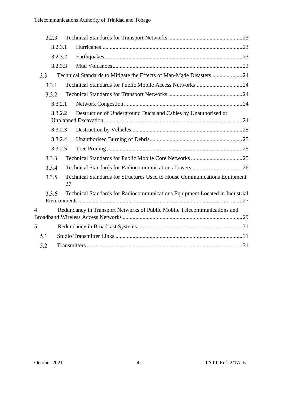|     | 3.2.3 |         |                                                                                 |  |
|-----|-------|---------|---------------------------------------------------------------------------------|--|
|     |       | 3.2.3.1 |                                                                                 |  |
|     |       | 3.2.3.2 |                                                                                 |  |
|     |       | 3.2.3.3 |                                                                                 |  |
| 3.3 |       |         | Technical Standards to Mitigate the Effects of Man-Made Disasters 24            |  |
|     | 3.3.1 |         |                                                                                 |  |
|     | 3.3.2 |         |                                                                                 |  |
|     |       | 3.3.2.1 |                                                                                 |  |
|     |       | 3.3.2.2 | Destruction of Underground Ducts and Cables by Unauthorised or                  |  |
|     |       | 3.3.2.3 |                                                                                 |  |
|     |       | 3.3.2.4 |                                                                                 |  |
|     |       | 3.3.2.5 |                                                                                 |  |
|     | 3.3.3 |         |                                                                                 |  |
|     | 3.3.4 |         |                                                                                 |  |
|     | 3.3.5 |         | Technical Standards for Structures Used to House Communications Equipment<br>27 |  |
|     | 3.3.6 |         | Technical Standards for Radiocommunications Equipment Located in Industrial     |  |
| 4   |       |         | Redundancy in Transport Networks of Public Mobile Telecommunications and        |  |
|     |       |         |                                                                                 |  |
| 5   |       |         |                                                                                 |  |
| 5.1 |       |         |                                                                                 |  |
| 5.2 |       |         |                                                                                 |  |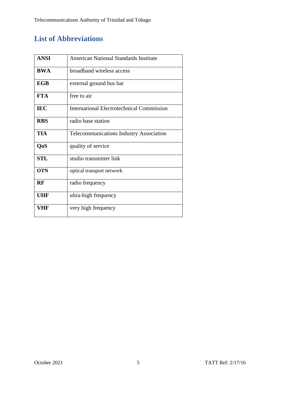## **List of Abbreviations**

| <b>ANSI</b> | American National Standards Institute            |
|-------------|--------------------------------------------------|
| <b>BWA</b>  | broadband wireless access                        |
| <b>EGB</b>  | external ground bus bar                          |
| <b>FTA</b>  | free to air                                      |
| <b>IEC</b>  | <b>International Electrotechnical Commission</b> |
| <b>RBS</b>  | radio base station                               |
| <b>TIA</b>  | Telecommunications Industry Association          |
| QoS         | quality of service                               |
| <b>STL</b>  | studio transmitter link                          |
| <b>OTN</b>  | optical transport network                        |
| <b>RF</b>   | radio frequency                                  |
| <b>UHF</b>  | ultra-high frequency                             |
| VHF         | very high frequency                              |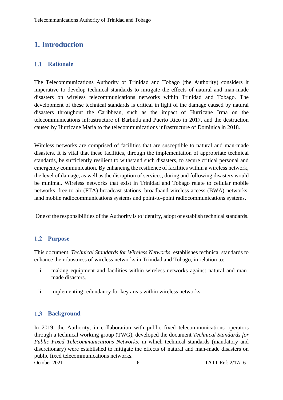## **1. Introduction**

#### $1.1$ **Rationale**

The Telecommunications Authority of Trinidad and Tobago (the Authority) considers it imperative to develop technical standards to mitigate the effects of natural and man-made disasters on wireless telecommunications networks within Trinidad and Tobago. The development of these technical standards is critical in light of the damage caused by natural disasters throughout the Caribbean, such as the impact of Hurricane Irma on the telecommunications infrastructure of Barbuda and Puerto Rico in 2017, and the destruction caused by Hurricane Maria to the telecommunications infrastructure of Dominica in 2018.

Wireless networks are comprised of facilities that are susceptible to natural and man-made disasters. It is vital that these facilities, through the implementation of appropriate technical standards, be sufficiently resilient to withstand such disasters, to secure critical personal and emergency communication. By enhancing the resilience of facilities within a wireless network, the level of damage, as well as the disruption of services, during and following disasters would be minimal. Wireless networks that exist in Trinidad and Tobago relate to cellular mobile networks, free-to-air (FTA) broadcast stations, broadband wireless access (BWA) networks, land mobile radiocommunications systems and point-to-point radiocommunications systems.

One of the responsibilities of the Authority is to identify, adopt or establish technical standards.

#### **Purpose**

This document, *Technical Standards for Wireless Networks*, establishes technical standards to enhance the robustness of wireless networks in Trinidad and Tobago, in relation to:

- i. making equipment and facilities within wireless networks against natural and manmade disasters.
- ii. implementing redundancy for key areas within wireless networks.

#### $1.3$ **Background**

October 2021 6 TATT Ref: 2/17/16 In 2019, the Authority, in collaboration with public fixed telecommunications operators through a technical working group (TWG), developed the document *Technical Standards for Public Fixed Telecommunications Networks*, in which technical standards (mandatory and discretionary) were established to mitigate the effects of natural and man-made disasters on public fixed telecommunications networks.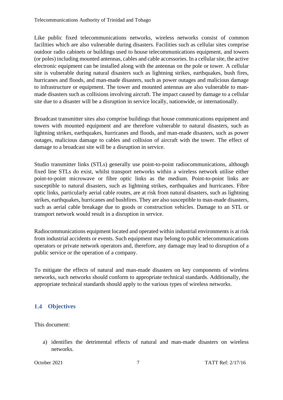Like public fixed telecommunications networks, wireless networks consist of common facilities which are also vulnerable during disasters. Facilities such as cellular sites comprise outdoor radio cabinets or buildings used to house telecommunications equipment, and towers (or poles) including mounted antennas, cables and cable accessories. In a cellular site, the active electronic equipment can be installed along with the antennas on the pole or tower. A cellular site is vulnerable during natural disasters such as lightning strikes, earthquakes, bush fires, hurricanes and floods, and man-made disasters, such as power outages and malicious damage to infrastructure or equipment. The tower and mounted antennas are also vulnerable to manmade disasters such as collisions involving aircraft. The impact caused by damage to a cellular site due to a disaster will be a disruption in service locally, nationwide, or internationally.

Broadcast transmitter sites also comprise buildings that house communications equipment and towers with mounted equipment and are therefore vulnerable to natural disasters, such as lightning strikes, earthquakes, hurricanes and floods, and man-made disasters, such as power outages, malicious damage to cables and collision of aircraft with the tower. The effect of damage to a broadcast site will be a disruption in service.

Studio transmitter links (STLs) generally use point-to-point radiocommunications, although fixed line STLs do exist, whilst transport networks within a wireless network utilise either point-to-point microwave or fibre optic links as the medium. Point-to-point links are susceptible to natural disasters, such as lightning strikes, earthquakes and hurricanes. Fibre optic links, particularly aerial cable routes, are at risk from natural disasters, such as lightning strikes, earthquakes, hurricanes and bushfires. They are also susceptible to man-made disasters, such as aerial cable breakage due to goods or construction vehicles. Damage to an STL or transport network would result in a disruption in service.

Radiocommunications equipment located and operated within industrial environments is at risk from industrial accidents or events. Such equipment may belong to public telecommunications operators or private network operators and, therefore, any damage may lead to disruption of a public service or the operation of a company.

To mitigate the effects of natural and man-made disasters on key components of wireless networks, such networks should conform to appropriate technical standards. Additionally, the appropriate technical standards should apply to the various types of wireless networks.

### **Objectives**

This document:

a) identifies the detrimental effects of natural and man-made disasters on wireless networks.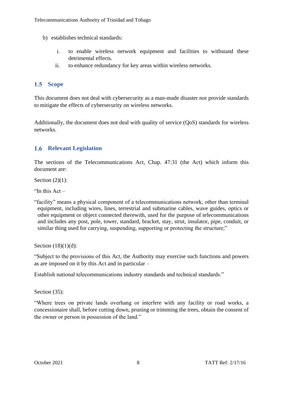- b) establishes technical standards:
	- i. to enable wireless network equipment and facilities to withstand these detrimental effects.
	- ii. to enhance redundancy for key areas within wireless networks*.*

### 1.5 Scope

This document does not deal with cybersecurity as a man-made disaster nor provide standards to mitigate the effects of cybersecurity on wireless networks.

Additionally, the document does not deal with quality of service (OoS) standards for wireless networks.

### **Relevant Legislation**

The sections of the Telecommunications Act, Chap. 47:31 (the Act) which inform this document are:

Section (2)(1):

"In this  $Act-$ 

"facility" means a physical component of a telecommunications network, other than terminal equipment, including wires, lines, terrestrial and submarine cables, wave guides, optics or other equipment or object connected therewith, used for the purpose of telecommunications and includes any post, pole, tower, standard, bracket, stay, strut, insulator, pipe, conduit, or similar thing used for carrying, suspending, supporting or protecting the structure;"

Section (18)(1)(d):

"Subject to the provisions of this Act, the Authority may exercise such functions and powers as are imposed on it by this Act and in particular –

Establish national telecommunications industry standards and technical standards."

Section (35):

"Where trees on private lands overhang or interfere with any facility or road works, a concessionaire shall, before cutting down, pruning or trimming the trees, obtain the consent of the owner or person in possession of the land."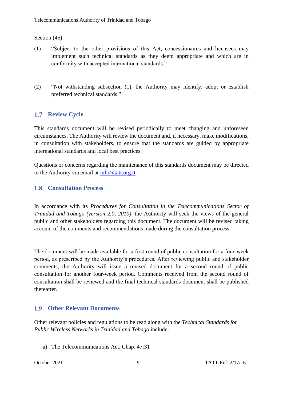Section (45):

- (1) "Subject to the other provisions of this Act, concessionaires and licensees may implement such technical standards as they deem appropriate and which are in conformity with accepted international standards."
- (2) "Not withstanding subsection (1), the Authority may identify, adopt or establish preferred technical standards."

### **1.7 Review Cycle**

This standards document will be revised periodically to meet changing and unforeseen circumstances. The Authority will review the document and, if necessary, make modifications, in consultation with stakeholders, to ensure that the standards are guided by appropriate international standards and local best practices.

Questions or concerns regarding the maintenance of this standards document may be directed to the Authority via email at [info@tatt.org.tt.](mailto:info@tatt.org.tt)

#### **Consultation Process**

In accordance with its *Procedures for Consultation in the Telecommunications Sector of Trinidad and Tobago (version 2.0, 2010)*, the Authority will seek the views of the general public and other stakeholders regarding this document. The document will be revised taking account of the comments and recommendations made during the consultation process.

The document will be made available for a first round of public consultation for a four-week period, as prescribed by the Authority's procedures. After reviewing public and stakeholder comments, the Authority will issue a revised document for a second round of public consultation for another four-week period. Comments received from the second round of consultation shall be reviewed and the final technical standards document shall be published thereafter.

#### **Other Relevant Documents**

Other relevant policies and regulations to be read along with the *Technical Standards for Public Wireless Networks in Trinidad and Tobago* include:

a) The Telecommunications Act, Chap. 47:31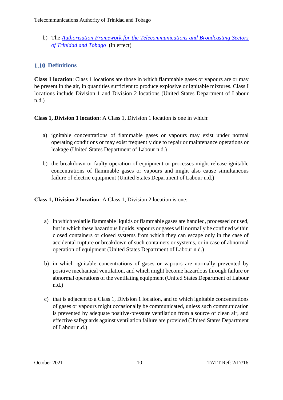b) The *[Authorisation Framework for the Telecommunications and Broadcasting Sectors](https://tatt.org.tt/Portals/0/Documents/Authorisation%20Framework.pdf)  [of Trinidad and Tobago](https://tatt.org.tt/Portals/0/Documents/Authorisation%20Framework.pdf)* (in effect)

#### **1.10 Definitions**

**Class 1 location**: Class 1 locations are those in which flammable gases or vapours are or may be present in the air, in quantities sufficient to produce explosive or ignitable mixtures. Class I locations include Division 1 and Division 2 locations (United States Department of Labour n.d.)

**Class 1, Division 1 location**: A Class 1, Division 1 location is one in which:

- a) ignitable concentrations of flammable gases or vapours may exist under normal operating conditions or may exist frequently due to repair or maintenance operations or leakage (United States Department of Labour n.d.)
- b) the breakdown or faulty operation of equipment or processes might release ignitable concentrations of flammable gases or vapours and might also cause simultaneous failure of electric equipment (United States Department of Labour n.d.)

**Class 1, Division 2 location**: A Class 1, Division 2 location is one:

- a) in which volatile flammable liquids or flammable gases are handled, processed or used, but in which these hazardous liquids, vapours or gases will normally be confined within closed containers or closed systems from which they can escape only in the case of accidental rupture or breakdown of such containers or systems, or in case of abnormal operation of equipment (United States Department of Labour n.d.)
- b) in which ignitable concentrations of gases or vapours are normally prevented by positive mechanical ventilation, and which might become hazardous through failure or abnormal operations of the ventilating equipment (United States Department of Labour n.d.)
- c) that is adjacent to a Class 1, Division 1 location, and to which ignitable concentrations of gases or vapours might occasionally be communicated, unless such communication is prevented by adequate positive-pressure ventilation from a source of clean air, and effective safeguards against ventilation failure are provided (United States Department of Labour n.d.)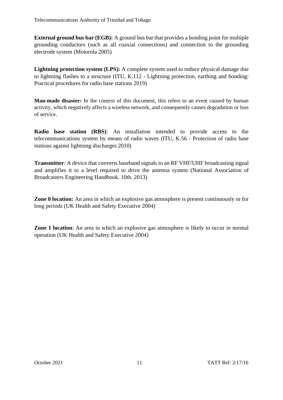**External ground bus bar (EGB):** A ground bus bar that provides a bonding point for multiple grounding conductors (such as all coaxial connections) and connection to the grounding electrode system (Motorola 2005)

**Lightning protection system (LPS):** A complete system used to reduce physical damage due to lightning flashes to a structure (ITU, K.112 - Lightning protection, earthing and bonding: Practical procedures for radio base stations 2019)

**Man-made disaster:** In the context of this document, this refers to an event caused by human activity, which negatively affects a wireless network, and consequently causes degradation or loss of service.

**Radio base station (RBS)**: An installation intended to provide access to the telecommunications system by means of radio waves (ITU, K.56 - Protection of radio base stations against lightning discharges 2010)

**Transmitter**: A device that converts baseband signals to an RF VHF/UHF broadcasting signal and amplifies it to a level required to drive the antenna system (National Association of Broadcasters Engineering Handbook. 10th. 2013)

**Zone 0 location:** An area in which an explosive gas atmosphere is present continuously or for long periods (UK Health and Safety Executive 2004)

**Zone 1 location**: An area in which an explosive gas atmosphere is likely to occur in normal operation (UK Health and Safety Executive 2004)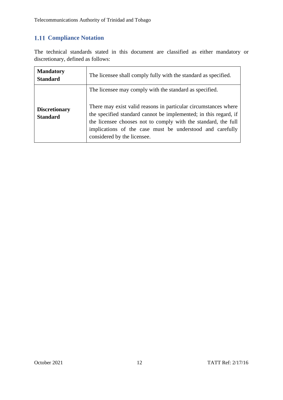### **1.11 Compliance Notation**

The technical standards stated in this document are classified as either mandatory or discretionary, defined as follows:

| <b>Mandatory</b><br><b>Standard</b>     | The licensee shall comply fully with the standard as specified.                                                                                                                                                                                                                                                                                              |
|-----------------------------------------|--------------------------------------------------------------------------------------------------------------------------------------------------------------------------------------------------------------------------------------------------------------------------------------------------------------------------------------------------------------|
| <b>Discretionary</b><br><b>Standard</b> | The licensee may comply with the standard as specified.<br>There may exist valid reasons in particular circumstances where<br>the specified standard cannot be implemented; in this regard, if<br>the licensee chooses not to comply with the standard, the full<br>implications of the case must be understood and carefully<br>considered by the licensee. |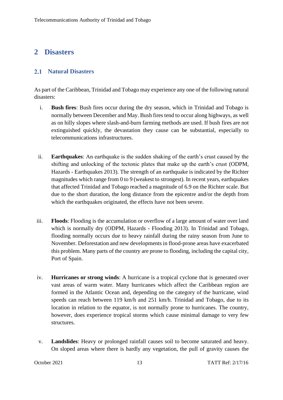### **2 Disasters**

#### **Natural Disasters**

As part of the Caribbean, Trinidad and Tobago may experience any one of the following natural disasters:

- i. **Bush fires**: Bush fires occur during the dry season, which in Trinidad and Tobago is normally between December and May. Bush fires tend to occur along highways, as well as on hilly slopes where slash-and-burn farming methods are used. If bush fires are not extinguished quickly, the devastation they cause can be substantial, especially to telecommunications infrastructures.
- ii. **Earthquakes**: An earthquake is the sudden shaking of the earth's crust caused by the shifting and unlocking of the tectonic plates that make up the earth's crust (ODPM, Hazards - Earthquakes 2013). The strength of an earthquake is indicated by the Richter magnitudes which range from 0 to 9 (weakest to strongest). In recent years, earthquakes that affected Trinidad and Tobago reached a magnitude of 6.9 on the Richter scale. But due to the short duration, the long distance from the epicentre and/or the depth from which the earthquakes originated, the effects have not been severe.
- iii. **Floods**: Flooding is the accumulation or overflow of a large amount of water over land which is normally dry (ODPM, Hazards - Flooding 2013). In Trinidad and Tobago, flooding normally occurs due to heavy rainfall during the rainy season from June to November. Deforestation and new developments in flood-prone areas have exacerbated this problem. Many parts of the country are prone to flooding, including the capital city, Port of Spain.
- iv. **Hurricanes or strong winds**: A hurricane is a tropical cyclone that is generated over vast areas of warm water. Many hurricanes which affect the Caribbean region are formed in the Atlantic Ocean and, depending on the category of the hurricane, wind speeds can reach between 119 km/h and 251 km/h. Trinidad and Tobago, due to its location in relation to the equator, is not normally prone to hurricanes. The country, however, does experience tropical storms which cause minimal damage to very few structures.
- v. **Landslides**: Heavy or prolonged rainfall causes soil to become saturated and heavy. On sloped areas where there is hardly any vegetation, the pull of gravity causes the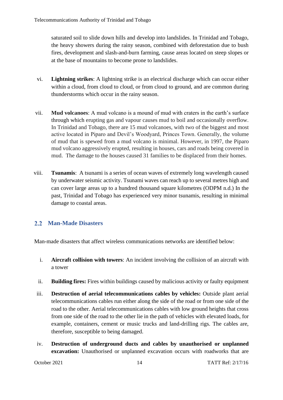saturated soil to slide down hills and develop into landslides. In Trinidad and Tobago, the heavy showers during the rainy season, combined with deforestation due to bush fires, development and slash-and-burn farming, cause areas located on steep slopes or at the base of mountains to become prone to landslides.

- vi. **Lightning strikes**: A lightning strike is an electrical discharge which can occur either within a cloud, from cloud to cloud, or from cloud to ground, and are common during thunderstorms which occur in the rainy season.
- vii. **Mud volcanoes**: A mud volcano is a mound of mud with craters in the earth's surface through which erupting gas and vapour causes mud to boil and occasionally overflow. In Trinidad and Tobago, there are 15 mud volcanoes, with two of the biggest and most active located in Piparo and Devil's Woodyard, Princes Town. Generally, the volume of mud that is spewed from a mud volcano is minimal. However, in 1997, the Piparo mud volcano aggressively erupted, resulting in houses, cars and roads being covered in mud. The damage to the houses caused 31 families to be displaced from their homes.
- viii. **Tsunamis**: A tsunami is a series of ocean waves of extremely long wavelength caused by underwater seismic activity. Tsunami waves can reach up to several metres high and can cover large areas up to a hundred thousand square kilometres (ODPM n.d.) In the past, Trinidad and Tobago has experienced very minor tsunamis, resulting in minimal damage to coastal areas.

#### **Man-Made Disasters**

Man-made disasters that affect wireless communications networks are identified below:

- i. **Aircraft collision with towers**: An incident involving the collision of an aircraft with a tower
- ii. **Building fires:** Fires within buildings caused by malicious activity or faulty equipment
- iii. **Destruction of aerial telecommunications cables by vehicles:** Outside plant aerial telecommunications cables run either along the side of the road or from one side of the road to the other. Aerial telecommunications cables with low ground heights that cross from one side of the road to the other lie in the path of vehicles with elevated loads, for example, containers, cement or music trucks and land-drilling rigs. The cables are, therefore, susceptible to being damaged.
- iv. **Destruction of underground ducts and cables by unauthorised or unplanned excavation:** Unauthorised or unplanned excavation occurs with roadworks that are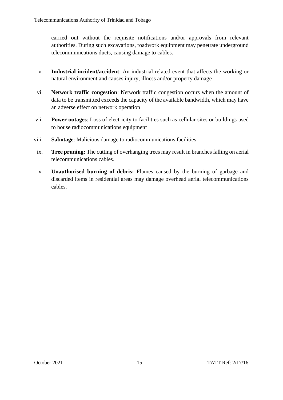carried out without the requisite notifications and/or approvals from relevant authorities. During such excavations, roadwork equipment may penetrate underground telecommunications ducts, causing damage to cables.

- v. **Industrial incident/accident**: An industrial-related event that affects the working or natural environment and causes injury, illness and/or property damage
- vi. **Network traffic congestion**: Network traffic congestion occurs when the amount of data to be transmitted exceeds the capacity of the available bandwidth, which may have an adverse effect on network operation
- vii. **Power outages**: Loss of electricity to facilities such as cellular sites or buildings used to house radiocommunications equipment
- viii. **Sabotage**: Malicious damage to radiocommunications facilities
- ix. **Tree pruning:** The cutting of overhanging trees may result in branches falling on aerial telecommunications cables.
- x. **Unauthorised burning of debris:** Flames caused by the burning of garbage and discarded items in residential areas may damage overhead aerial telecommunications cables.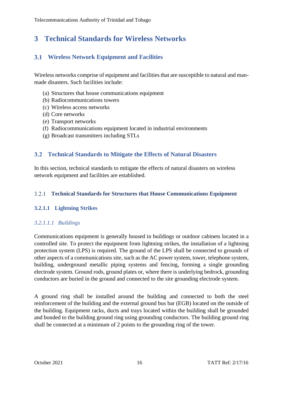## **3 Technical Standards for Wireless Networks**

### **Wireless Network Equipment and Facilities**

Wireless networks comprise of equipment and facilities that are susceptible to natural and manmade disasters. Such facilities include:

- (a) Structures that house communications equipment
- (b) Radiocommunications towers
- (c) Wireless access networks
- (d) Core networks
- (e) Transport networks
- (f) Radiocommunications equipment located in industrial environments
- (g) Broadcast transmitters including STLs

#### **Technical Standards to Mitigate the Effects of Natural Disasters**

In this section, technical standards to mitigate the effects of natural disasters on wireless network equipment and facilities are established.

#### **Technical Standards for Structures that House Communications Equipment**

#### **3.2.1.1 Lightning Strikes**

#### *3.2.1.1.1 Buildings*

Communications equipment is generally housed in buildings or outdoor cabinets located in a controlled site. To protect the equipment from lightning strikes, the installation of a lightning protection system (LPS) is required. The ground of the LPS shall be connected to grounds of other aspects of a communications site, such as the AC power system, tower, telephone system, building, underground metallic piping systems and fencing, forming a single grounding electrode system. Ground rods, ground plates or, where there is underlying bedrock, grounding conductors are buried in the ground and connected to the site grounding electrode system.

A ground ring shall be installed around the building and connected to both the steel reinforcement of the building and the external ground bus bar (EGB) located on the outside of the building. Equipment racks, ducts and trays located within the building shall be grounded and bonded to the building ground ring using grounding conductors. The building ground ring shall be connected at a minimum of 2 points to the grounding ring of the tower.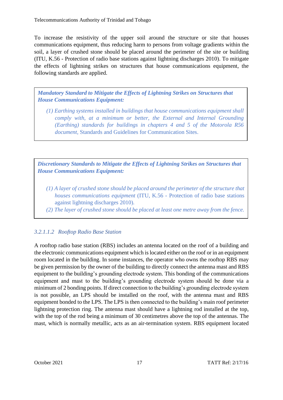To increase the resistivity of the upper soil around the structure or site that houses communications equipment, thus reducing harm to persons from voltage gradients within the soil, a layer of crushed stone should be placed around the perimeter of the site or building (ITU, K.56 - Protection of radio base stations against lightning discharges 2010). To mitigate the effects of lightning strikes on structures that house communications equipment, the following standards are applied.

*Mandatory Standard to Mitigate the Effects of Lightning Strikes on Structures that House Communications Equipment:*

*(1) Earthing systems installed in buildings that house communications equipment shall comply with, at a minimum or better, the External and Internal Grounding (Earthing) standards for buildings in chapters 4 and 5 of the Motorola R56 document,* Standards and Guidelines for Communication Sites.

*Discretionary Standards to Mitigate the Effects of Lightning Strikes on Structures that House Communications Equipment:*

- *(1) A layer of crushed stone should be placed around the perimeter of the structure that houses communications equipment* (ITU, K.56 - Protection of radio base stations against lightning discharges 2010)*.*
- *(2) The layer of crushed stone should be placed at least one metre away from the fence.*

### *3.2.1.1.2 Rooftop Radio Base Station*

A rooftop radio base station (RBS) includes an antenna located on the roof of a building and the electronic communications equipment which is located either on the roof or in an equipment room located in the building. In some instances, the operator who owns the rooftop RBS may be given permission by the owner of the building to directly connect the antenna mast and RBS equipment to the building's grounding electrode system. This bonding of the communications equipment and mast to the building's grounding electrode system should be done via a minimum of 2 bonding points. If direct connection to the building's grounding electrode system is not possible, an LPS should be installed on the roof, with the antenna mast and RBS equipment bonded to the LPS. The LPS is then connected to the building's main roof perimeter lightning protection ring. The antenna mast should have a lightning rod installed at the top, with the top of the rod being a minimum of 30 centimetres above the top of the antennas. The mast, which is normally metallic, acts as an air-termination system. RBS equipment located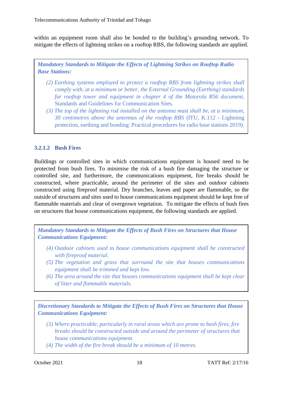within an equipment room shall also be bonded to the building's grounding network. To mitigate the effects of lightning strikes on a rooftop RBS, the following standards are applied.

*Mandatory Standards to Mitigate the Effects of Lightning Strikes on Rooftop Radio Base Stations:*

- *(2) Earthing systems employed to protect a rooftop RBS from lightning strikes shall comply with, at a minimum or better, the External Grounding (Earthing) standards for rooftop tower and equipment in chapter 4 of the Motorola R56 document,* Standards and Guidelines for Communication Sites*.*
- *(3) The top of the lightning rod installed on the antenna mast shall be, at a minimum, 30 centimetres above the antennas of the rooftop RBS* (ITU, K.112 - Lightning protection, earthing and bonding: Practical procedures for radio base stations 2019)*.*

#### **3.2.1.2 Bush Fires**

Buildings or controlled sites in which communications equipment is housed need to be protected from bush fires. To minimise the risk of a bush fire damaging the structure or controlled site, and furthermore, the communications equipment, fire breaks should be constructed, where practicable, around the perimeter of the sites and outdoor cabinets constructed using fireproof material. Dry branches, leaves and paper are flammable, so the outside of structures and sites used to house communications equipment should be kept free of flammable materials and clear of overgrown vegetation. To mitigate the effects of bush fires on structures that house communications equipment, the following standards are applied.

*Mandatory Standards to Mitigate the Effects of Bush Fires on Structures that House Communications Equipment:*

- *(4) Outdoor cabinets used to house communications equipment shall be constructed with fireproof material.*
- *(5) The vegetation and grass that surround the site that houses communications equipment shall be trimmed and kept low.*
- *(6) The area around the site that houses communications equipment shall be kept clear of litter and flammable materials.*

*Discretionary Standards to Mitigate the Effects of Bush Fires on Structures that House Communications Equipment:*

- *(3) Where practicable, particularly in rural areas which are prone to bush fires, fire breaks should be constructed outside and around the perimeter of structures that house communications equipment.*
- *(4) The width of the fire break should be a minimum of 10 metres.*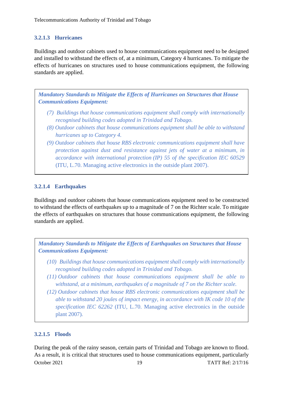#### **3.2.1.3 Hurricanes**

Buildings and outdoor cabinets used to house communications equipment need to be designed and installed to withstand the effects of, at a minimum, Category 4 hurricanes. To mitigate the effects of hurricanes on structures used to house communications equipment, the following standards are applied.

*Mandatory Standards to Mitigate the Effects of Hurricanes on Structures that House Communications Equipment:*

- *(7) Buildings that house communications equipment shall comply with internationally recognised building codes adopted in Trinidad and Tobago.*
- *(8) Outdoor cabinets that house communications equipment shall be able to withstand hurricanes up to Category 4.*
- *(9) Outdoor cabinets that house RBS electronic communications equipment shall have protection against dust and resistance against jets of water at a minimum, in accordance with international protection (IP) 55 of the specification IEC 60529* (ITU, L.70. Managing active electronics in the outside plant 2007).

#### **3.2.1.4 Earthquakes**

Buildings and outdoor cabinets that house communications equipment need to be constructed to withstand the effects of earthquakes up to a magnitude of 7 on the Richter scale. To mitigate the effects of earthquakes on structures that house communications equipment, the following standards are applied.

*Mandatory Standards to Mitigate the Effects of Earthquakes on Structures that House Communications Equipment:*

- *(10) Buildings that house communications equipment shall comply with internationally recognised building codes adopted in Trinidad and Tobago.*
- *(11) Outdoor cabinets that house communications equipment shall be able to withstand, at a minimum, earthquakes of a magnitude of 7 on the Richter scale.*
- *(12) Outdoor cabinets that house RBS electronic communications equipment shall be able to withstand 20 joules of impact energy, in accordance with IK code 10 of the specification IEC 62262* (ITU, L.70. Managing active electronics in the outside plant 2007)*.*

#### **3.2.1.5 Floods**

October 2021 19 19 TATT Ref: 2/17/16 During the peak of the rainy season, certain parts of Trinidad and Tobago are known to flood. As a result, it is critical that structures used to house communications equipment, particularly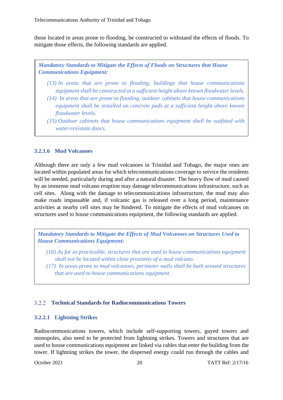those located in areas prone to flooding, be constructed to withstand the effects of floods. To mitigate those effects, the following standards are applied.

*Mandatory Standards to Mitigate the Effects of Floods on Structures that House Communications Equipment:*

- *(13) In areas that are prone to flooding, buildings that house communications equipment shall be constructed at a sufficient height above known floodwater levels.*
- *(14) In areas that are prone to flooding, outdoor cabinets that house communications equipment shall be installed on concrete pads at a sufficient height above known floodwater levels.*
- *(15) Outdoor cabinets that house communications equipment shall be outfitted with water-resistant doors.*

#### **3.2.1.6 Mud Volcanoes**

Although there are only a few mud volcanoes in Trinidad and Tobago, the major ones are located within populated areas for which telecommunications coverage to service the residents will be needed, particularly during and after a natural disaster. The heavy flow of mud caused by an immense mud volcano eruption may damage telecommunications infrastructure, such as cell sites. Along with the damage to telecommunications infrastructure, the mud may also make roads impassable and, if volcanic gas is released over a long period, maintenance activities at nearby cell sites may be hindered. To mitigate the effects of mud volcanoes on structures used to house communications equipment, the following standards are applied.

*Mandatory Standards to Mitigate the Effects of Mud Volcanoes on Structures Used to House Communications Equipment:*

- *(16) As far as practicable, structures that are used to house communications equipment shall not be located within close proximity of a mud volcano.*
- *(17) In areas prone to mud volcanoes, perimeter walls shall be built around structures that are used to house communications equipment.*

#### **Technical Standards for Radiocommunications Towers**

#### **3.2.2.1 Lightning Strikes**

Radiocommunications towers, which include self-supporting towers, guyed towers and monopoles, also need to be protected from lightning strikes. Towers and structures that are used to house communications equipment are linked via cables that enter the building from the tower. If lightning strikes the tower, the dispersed energy could run through the cables and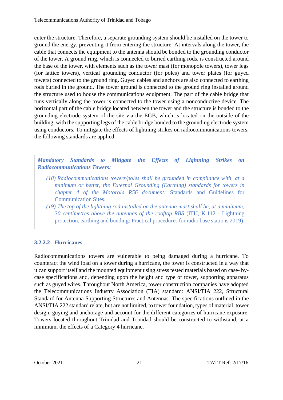enter the structure. Therefore, a separate grounding system should be installed on the tower to ground the energy, preventing it from entering the structure. At intervals along the tower, the cable that connects the equipment to the antenna should be bonded to the grounding conductor of the tower. A ground ring, which is connected to buried earthing rods, is constructed around the base of the tower, with elements such as the tower mast (for monopole towers), tower legs (for lattice towers), vertical grounding conductor (for poles) and tower plates (for guyed towers) connected to the ground ring. Guyed cables and anchors are also connected to earthing rods buried in the ground. The tower ground is connected to the ground ring installed around the structure used to house the communications equipment. The part of the cable bridge that runs vertically along the tower is connected to the tower using a nonconductive device. The horizontal part of the cable bridge located between the tower and the structure is bonded to the grounding electrode system of the site via the EGB, which is located on the outside of the building, with the supporting legs of the cable bridge bonded to the grounding electrode system using conductors. To mitigate the effects of lightning strikes on radiocommunications towers, the following standards are applied.

*Mandatory Standards to Mitigate the Effects of Lightning Strikes on Radiocommunications Towers:*

- *(18) Radiocommunications towers/poles shall be grounded in compliance with, at a minimum or better, the External Grounding (Earthing) standards for towers in chapter 4 of the Motorola R56 document:* Standards and Guidelines for Communication Sites.
- *(19) The top of the lightning rod installed on the antenna mast shall be, at a minimum, 30 centimetres above the antennas of the rooftop RBS* (ITU, K.112 - Lightning protection, earthing and bonding: Practical procedures for radio base stations 2019)*.*

#### **3.2.2.2 Hurricanes**

Radiocommunications towers are vulnerable to being damaged during a hurricane. To counteract the wind load on a tower during a hurricane, the tower is constructed in a way that it can support itself and the mounted equipment using stress tested materials based on case- bycase specifications and, depending upon the height and type of tower, supporting apparatus such as guyed wires. Throughout North America, tower construction companies have adopted the Telecommunications Industry Association (TIA) standard: ANSI/TIA 222, Structural Standard for Antenna Supporting Structures and Antennas. The specifications outlined in the ANSI/TIA 222 standard relate, but are not limited, to tower foundation, types of material, tower design, guying and anchorage and account for the different categories of hurricane exposure. Towers located throughout Trinidad and Trinidad should be constructed to withstand, at a minimum, the effects of a Category 4 hurricane.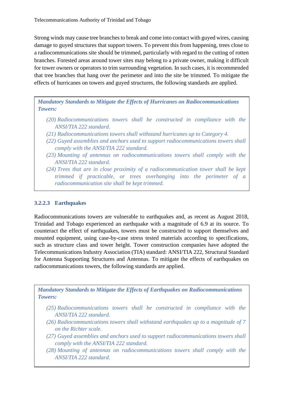Strong winds may cause tree branches to break and come into contact with guyed wires, causing damage to guyed structures that support towers. To prevent this from happening, trees close to a radiocommunications site should be trimmed, particularly with regard to the cutting of rotten branches. Forested areas around tower sites may belong to a private owner, making it difficult for tower owners or operators to trim surrounding vegetation. In such cases, it is recommended that tree branches that hang over the perimeter and into the site be trimmed. To mitigate the effects of hurricanes on towers and guyed structures, the following standards are applied.

*Mandatory Standards to Mitigate the Effects of Hurricanes on Radiocommunications Towers:*

- *(20) Radiocommunications towers shall be constructed in compliance with the ANSI/TIA 222 standard.*
- *(21) Radiocommunications towers shall withstand hurricanes up to Category 4.*
- *(22) Guyed assemblies and anchors used to support radiocommunications towers shall comply with the ANSI/TIA 222 standard.*
- *(23) Mounting of antennas on radiocommunications towers shall comply with the ANSI/TIA 222 standard.*
- *(24) Trees that are in close proximity of a radiocommunication tower shall be kept trimmed if practicable, or trees overhanging into the perimeter of a radiocommunication site shall be kept trimmed.*

#### **3.2.2.3 Earthquakes**

Radiocommunications towers are vulnerable to earthquakes and, as recent as August 2018, Trinidad and Tobago experienced an earthquake with a magnitude of 6.9 at its source. To counteract the effect of earthquakes, towers must be constructed to support themselves and mounted equipment, using case-by-case stress tested materials according to specifications, such as structure class and tower height. Tower construction companies have adopted the Telecommunications Industry Association (TIA) standard: ANSI/TIA 222, Structural Standard for Antenna Supporting Structures and Antennas. To mitigate the effects of earthquakes on radiocommunications towers, the following standards are applied.

*Mandatory Standards to Mitigate the Effects of Earthquakes on Radiocommunications Towers:*

- *(25) Radiocommunications towers shall be constructed in compliance with the ANSI/TIA 222 standard.*
- *(26) Radiocommunications towers shall withstand earthquakes up to a magnitude of 7 on the Richter scale.*
- *(27) Guyed assemblies and anchors used to support radiocommunications towers shall comply with the ANSI/TIA 222 standard.*
- October 2021 22 TATT Ref: 2/17/16 *(28) Mounting of antennas on radiocommunications towers shall comply with the ANSI/TIA 222 standard.*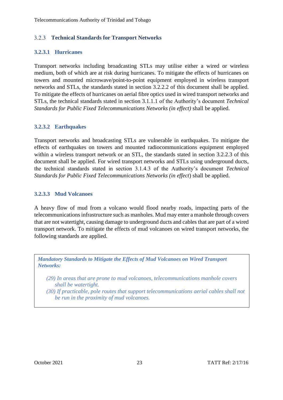#### **Technical Standards for Transport Networks**

#### **3.2.3.1 Hurricanes**

Transport networks including broadcasting STLs may utilise either a wired or wireless medium, both of which are at risk during hurricanes. To mitigate the effects of hurricanes on towers and mounted microwave/point-to-point equipment employed in wireless transport networks and STLs, the standards stated in section 3.2.2.2 of this document shall be applied. To mitigate the effects of hurricanes on aerial fibre optics used in wired transport networks and STLs, the technical standards stated in section 3.1.1.1 of the Authority's document *Technical Standards for Public Fixed Telecommunications Networks (in effect)* shall be applied.

#### **3.2.3.2 Earthquakes**

Transport networks and broadcasting STLs are vulnerable in earthquakes. To mitigate the effects of earthquakes on towers and mounted radiocommunications equipment employed within a wireless transport network or an STL, the standards stated in section 3.2.2.3 of this document shall be applied. For wired transport networks and STLs using underground ducts, the technical standards stated in section 3.1.4.3 of the Authority's document *Technical Standards for Public Fixed Telecommunications Networks (in effect*) shall be applied.

#### **3.2.3.3 Mud Volcanoes**

A heavy flow of mud from a volcano would flood nearby roads, impacting parts of the telecommunications infrastructure such as manholes. Mud may enter a manhole through covers that are not watertight, causing damage to underground ducts and cables that are part of a wired transport network. To mitigate the effects of mud volcanoes on wired transport networks, the following standards are applied.

*Mandatory Standards to Mitigate the Effects of Mud Volcanoes on Wired Transport Networks:* 

- *(29) In areas that are prone to mud volcanoes, telecommunications manhole covers shall be watertight.*
- *(30) If practicable, pole routes that support telecommunications aerial cables shall not be run in the proximity of mud volcanoes.*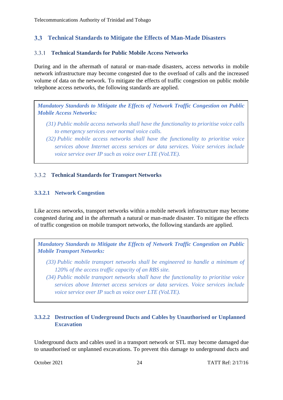#### $3.3<sub>1</sub>$ **Technical Standards to Mitigate the Effects of Man-Made Disasters**

#### **Technical Standards for Public Mobile Access Networks**

During and in the aftermath of natural or man-made disasters, access networks in mobile network infrastructure may become congested due to the overload of calls and the increased volume of data on the network. To mitigate the effects of traffic congestion on public mobile telephone access networks, the following standards are applied.

*Mandatory Standards to Mitigate the Effects of Network Traffic Congestion on Public Mobile Access Networks:*

- *(31) Public mobile access networks shall have the functionality to prioritise voice calls to emergency services over normal voice calls.*
- *(32) Public mobile access networks shall have the functionality to prioritise voice services above Internet access services or data services. Voice services include voice service over IP such as voice over LTE (VoLTE).*

#### **Technical Standards for Transport Networks**

#### **3.3.2.1 Network Congestion**

Like access networks, transport networks within a mobile network infrastructure may become congested during and in the aftermath a natural or man-made disaster. To mitigate the effects of traffic congestion on mobile transport networks, the following standards are applied.

*Mandatory Standards to Mitigate the Effects of Network Traffic Congestion on Public Mobile Transport Networks:*

- *(33) Public mobile transport networks shall be engineered to handle a minimum of 120% of the access traffic capacity of an RBS site.*
- *(34) Public mobile transport networks shall have the functionality to prioritise voice services above Internet access services or data services. Voice services include voice service over IP such as voice over LTE (VoLTE).*

#### **3.3.2.2 Destruction of Underground Ducts and Cables by Unauthorised or Unplanned Excavation**

Underground ducts and cables used in a transport network or STL may become damaged due to unauthorised or unplanned excavations. To prevent this damage to underground ducts and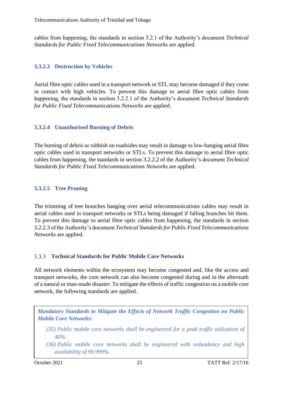cables from happening, the standards in section 3.2.1 of the Authority's document *Technical Standards for Public Fixed Telecommunications Networks* are applied.

#### **3.3.2.3 Destruction by Vehicles**

Aerial fibre optic cables used in a transport network or STL may become damaged if they come in contact with high vehicles. To prevent this damage to aerial fibre optic cables from happening, the standards in section 3.2.2.1 of the Authority's document *Technical Standards for Public Fixed Telecommunications Networks* are applied.

#### **3.3.2.4 Unauthorised Burning of Debris**

The burning of debris or rubbish on roadsides may result in damage to low-hanging aerial fibre optic cables used in transport networks or STLs. To prevent this damage to aerial fibre optic cables from happening, the standards in section 3.2.2.2 of the Authority's document *Technical Standards for Public Fixed Telecommunications Networks* are applied.

#### **3.3.2.5 Tree Pruning**

The trimming of tree branches hanging over aerial telecommunications cables may result in aerial cables used in transport networks or STLs being damaged if falling branches hit them. To prevent this damage to aerial fibre optic cables from happening, the standards in section 3.2.2.3 of the Authority's document *Technical Standards for Public Fixed Telecommunications Networks* are applied.

#### **Technical Standards for Public Mobile Core Networks**  $3.3.3$

All network elements within the ecosystem may become congested and, like the access and transport networks, the core network can also become congested during and in the aftermath of a natural or man-made disaster. To mitigate the effects of traffic congestion on a mobile core network, the following standards are applied.

*Mandatory Standards to Mitigate the Effects of Network Traffic Congestion on Public Mobile Core Networks:*

- *(35) Public mobile core networks shall be engineered for a peak traffic utilisation of 40%.*
- *(36) Public mobile core networks shall be engineered with redundancy and high availability of 99.999%.*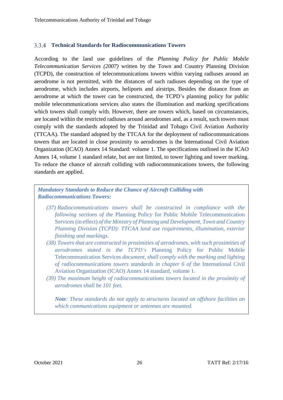#### **Technical Standards for Radiocommunications Towers**

According to the land use guidelines of the *Planning Policy for Public Mobile Telecommunication Services (2007)* written by the Town and Country Planning Division (TCPD), the construction of telecommunications towers within varying radiuses around an aerodrome is not permitted, with the distances of such radiuses depending on the type of aerodrome, which includes airports, heliports and airstrips. Besides the distance from an aerodrome at which the tower can be constructed, the TCPD's planning policy for public mobile telecommunications services also states the illumination and marking specifications which towers shall comply with. However, there are towers which, based on circumstances, are located within the restricted radiuses around aerodromes and, as a result, such towers must comply with the standards adopted by the Trinidad and Tobago Civil Aviation Authority (TTCAA). The standard adopted by the TTCAA for the deployment of radiocommunications towers that are located in close proximity to aerodromes is the International Civil Aviation Organization (ICAO) Annex 14 Standard: volume 1. The specifications outlined in the ICAO Annex 14, volume 1 standard relate, but are not limited, to tower lighting and tower marking. To reduce the chance of aircraft colliding with radiocommunications towers, the following standards are applied.

*Mandatory Standards to Reduce the Chance of Aircraft Colliding with Radiocommunications Towers:*

- *(37) Radiocommunications towers shall be constructed in compliance with the following sections of the* Planning Policy for Public Mobile Telecommunication Services (in effect) *of the Ministry of Planning and Development, Town and Country Planning Division (TCPD): TTCAA land use requirements, illumination, exterior finishing and markings.*
- *(38) Towers that are constructed in proximities of aerodromes, with such proximities of aerodromes stated in the TCPD's* Planning Policy for Public Mobile Telecommunication Services *document, shall comply with the marking and lighting of radiocommunications towers standards in chapter 6 of* the International Civil Aviation Organization (ICAO) Annex 14 standard, volume 1.
- *(39) The maximum height of radiocommunications towers located in the proximity of aerodromes shall be 101 feet.*

*Note: These standards do not apply to structures located on offshore facilities on which communications equipment or antennas are mounted.*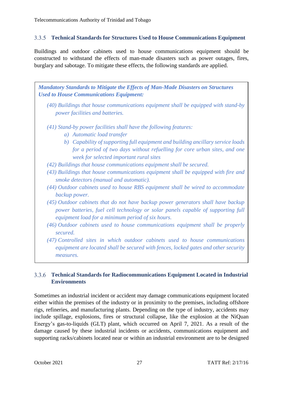#### $3.3.5$ **Technical Standards for Structures Used to House Communications Equipment**

Buildings and outdoor cabinets used to house communications equipment should be constructed to withstand the effects of man-made disasters such as power outages, fires, burglary and sabotage. To mitigate these effects, the following standards are applied.

*Mandatory Standards to Mitigate the Effects of Man-Made Disasters on Structures Used to House Communications Equipment: (40) Buildings that house communications equipment shall be equipped with stand-by power facilities and batteries. (41) Stand-by power facilities shall have the following features: a) Automatic load transfer b) Capability of supporting full equipment and building ancillary service loads for a period of two days without refuelling for core urban sites, and one week for selected important rural sites (42) Buildings that house communications equipment shall be secured. (43) Buildings that house communications equipment shall be equipped with fire and smoke detectors (manual and automatic). (44) Outdoor cabinets used to house RBS equipment shall be wired to accommodate backup power. (45) Outdoor cabinets that do not have backup power generators shall have backup power batteries, fuel cell technology or solar panels capable of supporting full equipment load for a minimum period of six hours. (46) Outdoor cabinets used to house communications equipment shall be properly secured. (47) Controlled sites in which outdoor cabinets used to house communications*

*equipment are located shall be secured with fences, locked gates and other security measures.*

#### **Technical Standards for Radiocommunications Equipment Located in Industrial Environments**

Sometimes an industrial incident or accident may damage communications equipment located either within the premises of the industry or in proximity to the premises, including offshore rigs, refineries, and manufacturing plants. Depending on the type of industry, accidents may include spillage, explosions, fires or structural collapse, like the explosion at the NiQuan Energy's gas-to-liquids (GLT) plant, which occurred on April 7, 2021. As a result of the damage caused by these industrial incidents or accidents, communications equipment and supporting racks/cabinets located near or within an industrial environment are to be designed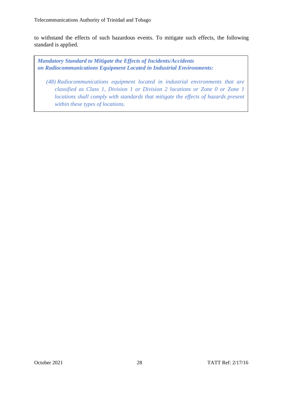to withstand the effects of such hazardous events. To mitigate such effects, the following standard is applied.

*Mandatory Standard to Mitigate the Effects of Incidents/Accidents on Radiocommunications Equipment Located in Industrial Environments:*

*(48) Radiocommunications equipment located in industrial environments that are classified as Class 1, Division 1 or Division 2 locations or Zone 0 or Zone 1 locations shall comply with standards that mitigate the effects of hazards present within these types of locations.*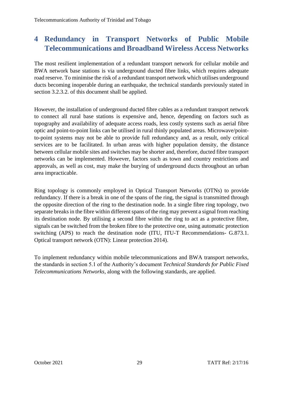## **4 Redundancy in Transport Networks of Public Mobile Telecommunications and Broadband Wireless Access Networks**

The most resilient implementation of a redundant transport network for cellular mobile and BWA network base stations is via underground ducted fibre links, which requires adequate road reserve. To minimise the risk of a redundant transport network which utilises underground ducts becoming inoperable during an earthquake, the technical standards previously stated in section 3.2.3.2. of this document shall be applied.

However, the installation of underground ducted fibre cables as a redundant transport network to connect all rural base stations is expensive and, hence, depending on factors such as topography and availability of adequate access roads, less costly systems such as aerial fibre optic and point-to-point links can be utilised in rural thinly populated areas. Microwave/pointto-point systems may not be able to provide full redundancy and, as a result, only critical services are to be facilitated. In urban areas with higher population density, the distance between cellular mobile sites and switches may be shorter and, therefore, ducted fibre transport networks can be implemented. However, factors such as town and country restrictions and approvals, as well as cost, may make the burying of underground ducts throughout an urban area impracticable.

Ring topology is commonly employed in Optical Transport Networks (OTNs) to provide redundancy. If there is a break in one of the spans of the ring, the signal is transmitted through the opposite direction of the ring to the destination node. In a single fibre ring topology, two separate breaks in the fibre within different spans of the ring may prevent a signal from reaching its destination node. By utilising a second fibre within the ring to act as a protective fibre, signals can be switched from the broken fibre to the protective one, using automatic protection switching (APS) to reach the destination node (ITU, ITU-T Recommendations- G.873.1. Optical transport network (OTN): Linear protection 2014).

To implement redundancy within mobile telecommunications and BWA transport networks, the standards in section 5.1 of the Authority's document *Technical Standards for Public Fixed Telecommunications Networks*, along with the following standards, are applied.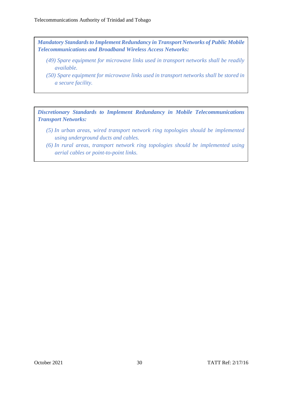*Mandatory Standards to Implement Redundancy in Transport Networks of Public Mobile Telecommunications and Broadband Wireless Access Networks:*

- *(49) Spare equipment for microwave links used in transport networks shall be readily available.*
- *(50) Spare equipment for microwave links used in transport networks shall be stored in a secure facility.*

*Discretionary Standards to Implement Redundancy in Mobile Telecommunications Transport Networks:*

- *(5) In urban areas, wired transport network ring topologies should be implemented using underground ducts and cables.*
- *(6) In rural areas, transport network ring topologies should be implemented using aerial cables or point-to-point links.*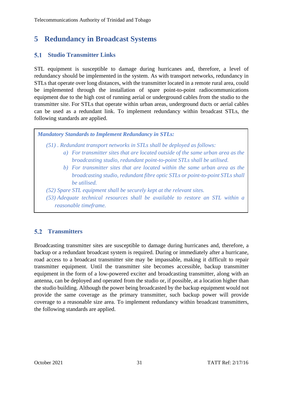## **5 Redundancy in Broadcast Systems**

#### **Studio Transmitter Links**  $5.1$

STL equipment is susceptible to damage during hurricanes and, therefore, a level of redundancy should be implemented in the system. As with transport networks, redundancy in STLs that operate over long distances, with the transmitter located in a remote rural area, could be implemented through the installation of spare point-to-point radiocommunications equipment due to the high cost of running aerial or underground cables from the studio to the transmitter site. For STLs that operate within urban areas, underground ducts or aerial cables can be used as a redundant link. To implement redundancy within broadcast STLs, the following standards are applied.

*Mandatory Standards to Implement Redundancy in STLs:*

*(51) . Redundant transport networks in STLs shall be deployed as follows:*

- *a) For transmitter sites that are located outside of the same urban area as the broadcasting studio, redundant point-to-point STLs shall be utilised.*
- *b) For transmitter sites that are located within the same urban area as the broadcasting studio, redundant fibre optic STLs or point-to-point STLs shall be utilised.*
- *(52) Spare STL equipment shall be securely kept at the relevant sites.*
- *(53) Adequate technical resources shall be available to restore an STL within a reasonable timeframe.*

#### $5.2$ **Transmitters**

Broadcasting transmitter sites are susceptible to damage during hurricanes and, therefore, a backup or a redundant broadcast system is required. During or immediately after a hurricane, road access to a broadcast transmitter site may be impassable, making it difficult to repair transmitter equipment. Until the transmitter site becomes accessible, backup transmitter equipment in the form of a low-powered exciter and broadcasting transmitter, along with an antenna, can be deployed and operated from the studio or, if possible, at a location higher than the studio building. Although the power being broadcasted by the backup equipment would not provide the same coverage as the primary transmitter, such backup power will provide coverage to a reasonable size area. To implement redundancy within broadcast transmitters, the following standards are applied.